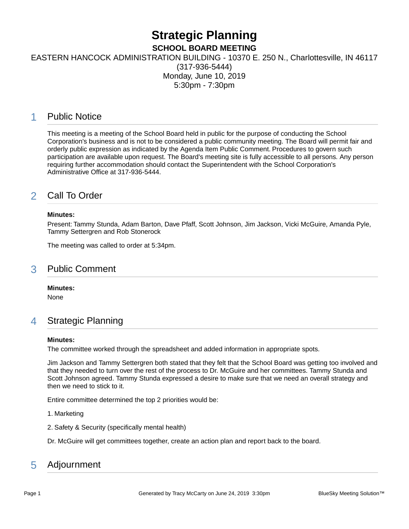# **Strategic Planning**

**SCHOOL BOARD MEETING**

EASTERN HANCOCK ADMINISTRATION BUILDING - 10370 E. 250 N., Charlottesville, IN 46117

(317-936-5444) Monday, June 10, 2019 5:30pm - 7:30pm

## 1 Public Notice

This meeting is a meeting of the School Board held in public for the purpose of conducting the School Corporation's business and is not to be considered a public community meeting. The Board will permit fair and orderly public expression as indicated by the Agenda Item Public Comment. Procedures to govern such participation are available upon request. The Board's meeting site is fully accessible to all persons. Any person requiring further accommodation should contact the Superintendent with the School Corporation's Administrative Office at 317-936-5444.

# 2 Call To Order

#### **Minutes:**

Present: Tammy Stunda, Adam Barton, Dave Pfaff, Scott Johnson, Jim Jackson, Vicki McGuire, Amanda Pyle, Tammy Settergren and Rob Stonerock

The meeting was called to order at 5:34pm.

## 3 Public Comment

**Minutes:**

None

## 4 Strategic Planning

#### **Minutes:**

The committee worked through the spreadsheet and added information in appropriate spots.

Jim Jackson and Tammy Settergren both stated that they felt that the School Board was getting too involved and that they needed to turn over the rest of the process to Dr. McGuire and her committees. Tammy Stunda and Scott Johnson agreed. Tammy Stunda expressed a desire to make sure that we need an overall strategy and then we need to stick to it.

Entire committee determined the top 2 priorities would be:

1. Marketing

2. Safety & Security (specifically mental health)

Dr. McGuire will get committees together, create an action plan and report back to the board.

# 5 Adjournment